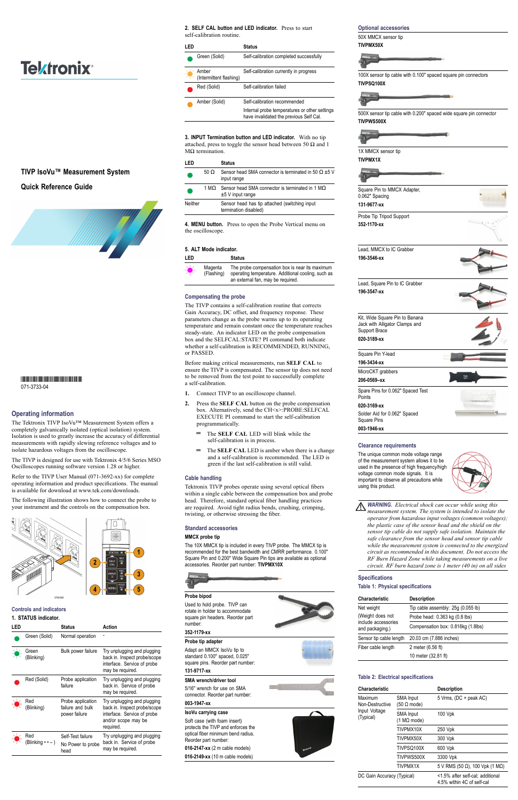# **Operating information**

The Tektronix TIVP IsoVu™ Measurement System offers a completely galvanically isolated (optical isolation) system. Isolation is used to greatly increase the accuracy of differential measurements with rapidly slewing reference voltages and to isolate hazardous voltages from the oscilloscope.

The TIVP is designed for use with Tektronix 4/5/6 Series MSO Oscilloscopes running software version 1.28 or higher.

Refer to the TIVP User Manual (071-3692-xx) for complete operating information and product specifications. The manual is available for download at [www.tek.com/downloads.](www.tek.com/downloads)

The following illustration shows how to connect the probe to your instrument and the controls on the compensation box.



#### **Controls and indicators**

# **1. STATUS indicator.**

**3. INPUT Termination button and LED indicator.** With no tip attached, press to toggle the sensor head between 50  $\Omega$  and 1  $MΩ$  termination.

| LED |                                           | <b>Status</b>                                          | Action                                                                                                                         |
|-----|-------------------------------------------|--------------------------------------------------------|--------------------------------------------------------------------------------------------------------------------------------|
|     | Green (Solid)                             | Normal operation                                       |                                                                                                                                |
|     | $\Rightarrow$ Green<br>(Blinking)         | Bulk power failure                                     | Try unplugging and plugging<br>back in. Inspect probe/scope<br>interface. Service of probe<br>may be required.                 |
|     | Red (Solid)                               | Probe application<br>failure                           | Try unplugging and plugging<br>back in. Service of probe<br>may be required.                                                   |
|     | $\Rightarrow$ Red<br>(Blinking)           | Probe application<br>failure and bulk<br>power failure | Try unplugging and plugging<br>back in. Inspect probe/scope<br>interface. Service of probe<br>and/or scope may be<br>required. |
|     | $\sum_{i=1}^{n}$ Red<br>(Blinking • • – ) | Self-Test failure<br>No Power to probe<br>head         | Try unplugging and plugging<br>back in. Service of probe<br>may be required.                                                   |

**2. SELF CAL button and LED indicator.** Press to start self-calibration routine.

| I ED |                                                                   | <b>Status</b>                                                                            |
|------|-------------------------------------------------------------------|------------------------------------------------------------------------------------------|
|      | Green (Solid)                                                     | Self-calibration completed successfully                                                  |
|      | Amber<br>$\frac{1}{\sqrt{1-\frac{1}{2}}}$ (Intermittent flashing) | Self-calibration currently in progress                                                   |
|      | Red (Solid)                                                       | Self-calibration failed                                                                  |
|      | Amber (Solid)                                                     | Self-calibration recommended                                                             |
|      |                                                                   | Internal probe temperatures or other settings<br>have invalidated the previous Self Cal. |
|      |                                                                   |                                                                                          |

|         |             | Status                                                                                     |
|---------|-------------|--------------------------------------------------------------------------------------------|
|         | 50 $\Omega$ | Sensor head SMA connector is terminated in 50 $\Omega$ $\pm$ 5 V<br>input range            |
|         |             | 1 M $\Omega$ Sensor head SMA connector is terminated in 1 M $\Omega$<br>$±5$ V input range |
| Neither |             | Sensor head has tip attached (switching input<br>termination disabled)                     |
|         |             |                                                                                            |

**4. MENU button.** Press to open the Probe Vertical menu on the oscilloscope.

# **5. ALT Mode indicator.**

| LED           |                       | <b>Status</b>                                                                                                                             |
|---------------|-----------------------|-------------------------------------------------------------------------------------------------------------------------------------------|
| $\frac{1}{2}$ | Magenta<br>(Flashing) | The probe compensation box is near its maximum<br>operating temperature. Additional cooling, such as<br>an external fan, may be required. |
|               |                       |                                                                                                                                           |

#### **Compensating the probe**

The TIVP contains a self-calibration routine that corrects Gain Accuracy, DC offset, and frequency response. These parameters change as the probe warms up to its operating temperature and remain constant once the temperature reaches steady-state. An indicator LED on the probe compensation box and the SELFCAL:STATE? PI command both indicate whether a self-calibration is RECOMMENDED, RUNNING, or PASSED.

Before making critical measurements, run **SELF CAL** to ensure the TIVP is compensated. The sensor tip does not need to be removed from the test point to successfully complete a self-calibration.

- **1.** Connect TIVP to an oscilloscope channel.
- **2.** Press the **SELF CAL** button on the probe compensation box. Alternatively, send the CH<x>:PROBE:SELFCAL EXECUTE PI command to start the self-calibration programmatically.
	- $\equiv$ The **SELF CAL** LED will blink while the self-calibration is in process.
	- The **SELF CAL** LED is amber when there is a change and a self-calibration is recommended. The LED is green if the last self-calibration is still valid.

# **Cable handling**

Tektronix TIVP probes operate using several optical fibers within a single cable between the compensation box and probe head. Therefore, standard optical fiber handling practices are required. Avoid tight radius bends, crushing, crimping, twisting, or otherwise stressing the fiber.

# **Standard accessories**

#### **MMCX probe tip**

The 10X MMCX tip is included in every TIVP probe. The MMCX tip is recommended for the best bandwidth and CMRR performance. 0.100" Square Pin and 0.200" Wide Square Pin tips are available as optional accessories. Reorder part number: **TIVPMX10X**



# **Probe bipod**

Used to hold probe. TIVP can rotate in holder to accommodate square pin headers. Reorder part number:

# **352-1179-xx**

# **Probe tip adapter**

Adapt an MMCX IsoVu tip to standard 0.100" spaced, 0.025" square pins. Reorder part number:

# **131-9717-xx**

#### **SMA wrench/driver tool**

5/16" wrench for use on SMA connector. Reorder part number:

# **003-1947-xx**

# **IsoVu carrying case**

Soft case (with foam insert) protects the TIVP and enforces the optical fiber minimum bend radius. Reorder part number:

**016-2147-xx** (2 m cable models) **016-2149-xx** (10 m cable models)







#### **Optional accessories**

50X MMCX sensor tip **TIVPMX50X**



100X sensor tip cable with 0.100" spaced square pin connectors **TIVPSQ100X**



500X sensor tip cable with 0.200" spaced wide square pin connector **TIVPWS500X**



1X MMCX sensor tip **TIVPMX1X**



| Square Pin to MMCX Adapter,<br>0.062" Spacing                                     |            |
|-----------------------------------------------------------------------------------|------------|
| 131-9677-xx                                                                       |            |
| Probe Tip Tripod Support                                                          |            |
| 352-1170-xx                                                                       |            |
| Lead, MMCX to IC Grabber                                                          |            |
| 196-3546-xx                                                                       |            |
| Lead, Square Pin to IC Grabber                                                    |            |
| 196-3547-xx                                                                       |            |
| Kit, Wide Square Pin to Banana<br>Jack with Alligator Clamps and<br>Support Brace |            |
| 020-3189-xx                                                                       |            |
| Square Pin Y-lead                                                                 |            |
| 196-3434-xx                                                                       |            |
| MicroCKT grabbers                                                                 |            |
| 206-0569-xx                                                                       | Tek<br>30V |
| Spare Pins for 0.062" Spaced Test<br>Points                                       |            |
| 020-3169-xx                                                                       |            |
| Solder Aid for 0.062" Spaced<br><b>Square Pins</b>                                |            |
| 003-1946-xx                                                                       |            |

# **Clearance requirements**

The unique common mode voltage range of the measurement system allows it to be used in the presence of high frequency/high voltage common mode signals. It is important to observe all precautions while using this product.



*WARNING. Electrical shock can occur while using this measurement system. The system is intended to isolate the operator from hazardous input voltages (common voltages); the plastic case of the sensor head and the shield on the sensor tip cable do not supply safe isolation. Maintain the safe clearance from the sensor head and sensor tip cable while the measurement system is connected to the energized circuit as recommended in this document. Do not access the RF Burn Hazard Zone while taking measurements on a live circuit. RF burn hazard zone is 1 meter (40 in) on all sides*

**Specifications**

# **Table 1: Physical specifications**

| Characteristic                         | <b>Description</b>                 |
|----------------------------------------|------------------------------------|
| Net weight                             | Tip cable assembly: 25g (0.055 lb) |
| (Weight does not                       | Probe head: 0.363 kg (0.8 lbs)     |
| include accessories<br>and packaging.) | Compensation box: 0.816kg (1.8lbs) |
| Sensor tip cable length                | 20.03 cm (7.886 inches)            |
| Fiber cable length                     | 2 meter (6.56 ft)                  |
|                                        | 10 meter (32.81 ft)                |

# **Table 2: Electrical specifications**

| Characteristic                                           |                                                | <b>Description</b>                                             |
|----------------------------------------------------------|------------------------------------------------|----------------------------------------------------------------|
| Maximum<br>Non-Destructive<br>Input Voltage<br>(Typical) | <b>SMA Input</b><br>$(50 \Omega \text{ mode})$ | 5 Vrms, (DC + peak AC)                                         |
|                                                          | <b>SMA Input</b><br>(1 MΩ mode)                | 100 Vpk                                                        |
|                                                          | TIVPMX10X                                      | 250 Vpk                                                        |
|                                                          | TIVPMX50X                                      | 300 Vpk                                                        |
|                                                          | TIVPSQ100X                                     | 600 Vpk                                                        |
|                                                          | TIVPWS500X                                     | 3300 Vpk                                                       |
|                                                          | TIVPMX1X                                       | 5 V RMS (50 $\Omega$ ), 100 Vpk (1 M $\Omega$ )                |
| DC Gain Accuracy (Typical)                               |                                                | <1.5% after self-cal; additional<br>4.5% within 4C of self-cal |



# **Tektronix®**

# **TIVP IsoVu™ Measurement System**

# **Quick Reference Guide**